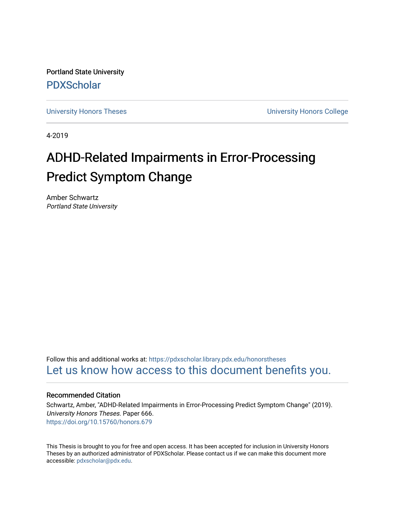Portland State University [PDXScholar](https://pdxscholar.library.pdx.edu/)

[University Honors Theses](https://pdxscholar.library.pdx.edu/honorstheses) **University Honors College** 

4-2019

# ADHD-Related Impairments in Error-Processing Predict Symptom Change

Amber Schwartz Portland State University

Follow this and additional works at: [https://pdxscholar.library.pdx.edu/honorstheses](https://pdxscholar.library.pdx.edu/honorstheses?utm_source=pdxscholar.library.pdx.edu%2Fhonorstheses%2F666&utm_medium=PDF&utm_campaign=PDFCoverPages)  [Let us know how access to this document benefits you.](http://library.pdx.edu/services/pdxscholar-services/pdxscholar-feedback/) 

## Recommended Citation

Schwartz, Amber, "ADHD-Related Impairments in Error-Processing Predict Symptom Change" (2019). University Honors Theses. Paper 666. <https://doi.org/10.15760/honors.679>

This Thesis is brought to you for free and open access. It has been accepted for inclusion in University Honors Theses by an authorized administrator of PDXScholar. Please contact us if we can make this document more accessible: [pdxscholar@pdx.edu.](mailto:pdxscholar@pdx.edu)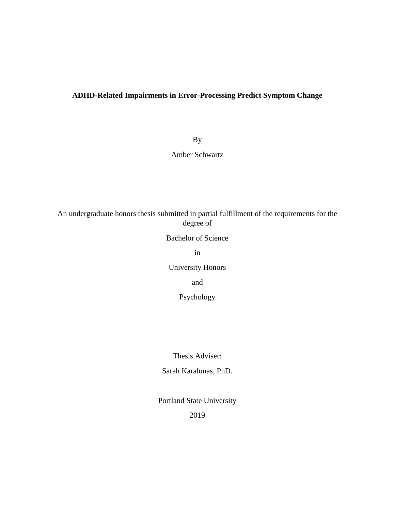# **ADHD-Related Impairments in Error-Processing Predict Symptom Change**

By

Amber Schwartz

An undergraduate honors thesis submitted in partial fulfillment of the requirements for the degree of

Bachelor of Science

in

University Honors

and

Psychology

Thesis Adviser:

Sarah Karalunas, PhD.

Portland State University

2019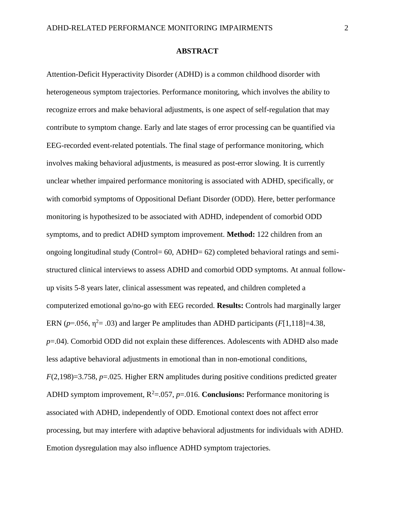#### **ABSTRACT**

Attention-Deficit Hyperactivity Disorder (ADHD) is a common childhood disorder with heterogeneous symptom trajectories. Performance monitoring, which involves the ability to recognize errors and make behavioral adjustments, is one aspect of self-regulation that may contribute to symptom change. Early and late stages of error processing can be quantified via EEG-recorded event-related potentials. The final stage of performance monitoring, which involves making behavioral adjustments, is measured as post-error slowing. It is currently unclear whether impaired performance monitoring is associated with ADHD, specifically, or with comorbid symptoms of Oppositional Defiant Disorder (ODD). Here, better performance monitoring is hypothesized to be associated with ADHD, independent of comorbid ODD symptoms, and to predict ADHD symptom improvement. **Method:** 122 children from an ongoing longitudinal study (Control= 60, ADHD= 62) completed behavioral ratings and semistructured clinical interviews to assess ADHD and comorbid ODD symptoms. At annual followup visits 5-8 years later, clinical assessment was repeated, and children completed a computerized emotional go/no-go with EEG recorded. **Results:** Controls had marginally larger ERN ( $p=0.056$ ,  $\eta^2=0.03$ ) and larger Pe amplitudes than ADHD participants ( $F[1,118]=4.38$ , *p*=.04). Comorbid ODD did not explain these differences. Adolescents with ADHD also made less adaptive behavioral adjustments in emotional than in non-emotional conditions, *F*(2,198)=3.758, *p*=.025. Higher ERN amplitudes during positive conditions predicted greater ADHD symptom improvement,  $R^2 = 0.057$ ,  $p = 0.016$ . **Conclusions:** Performance monitoring is associated with ADHD, independently of ODD. Emotional context does not affect error processing, but may interfere with adaptive behavioral adjustments for individuals with ADHD. Emotion dysregulation may also influence ADHD symptom trajectories.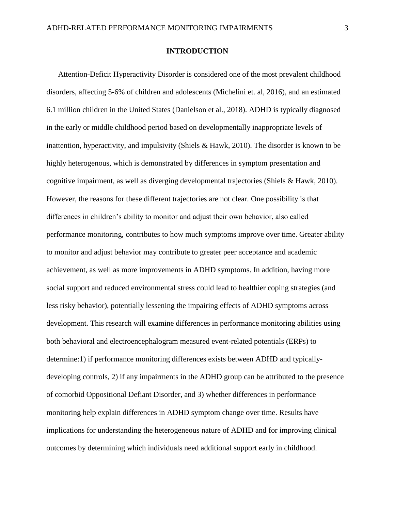## **INTRODUCTION**

Attention-Deficit Hyperactivity Disorder is considered one of the most prevalent childhood disorders, affecting 5-6% of children and adolescents (Michelini et. al, 2016), and an estimated 6.1 million children in the United States (Danielson et al., 2018). ADHD is typically diagnosed in the early or middle childhood period based on developmentally inappropriate levels of inattention, hyperactivity, and impulsivity (Shiels & Hawk, 2010). The disorder is known to be highly heterogenous, which is demonstrated by differences in symptom presentation and cognitive impairment, as well as diverging developmental trajectories (Shiels & Hawk, 2010). However, the reasons for these different trajectories are not clear. One possibility is that differences in children's ability to monitor and adjust their own behavior, also called performance monitoring, contributes to how much symptoms improve over time. Greater ability to monitor and adjust behavior may contribute to greater peer acceptance and academic achievement, as well as more improvements in ADHD symptoms. In addition, having more social support and reduced environmental stress could lead to healthier coping strategies (and less risky behavior), potentially lessening the impairing effects of ADHD symptoms across development. This research will examine differences in performance monitoring abilities using both behavioral and electroencephalogram measured event-related potentials (ERPs) to determine:1) if performance monitoring differences exists between ADHD and typicallydeveloping controls, 2) if any impairments in the ADHD group can be attributed to the presence of comorbid Oppositional Defiant Disorder, and 3) whether differences in performance monitoring help explain differences in ADHD symptom change over time. Results have implications for understanding the heterogeneous nature of ADHD and for improving clinical outcomes by determining which individuals need additional support early in childhood.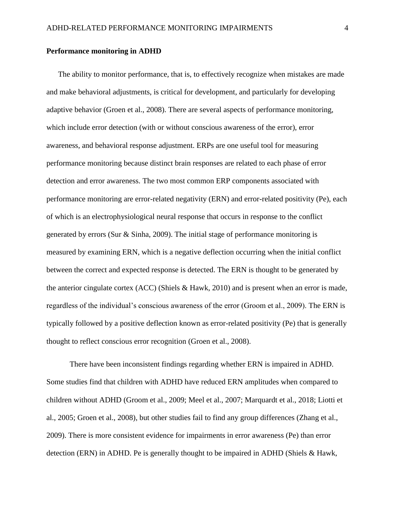#### **Performance monitoring in ADHD**

The ability to monitor performance, that is, to effectively recognize when mistakes are made and make behavioral adjustments, is critical for development, and particularly for developing adaptive behavior (Groen et al., 2008). There are several aspects of performance monitoring, which include error detection (with or without conscious awareness of the error), error awareness, and behavioral response adjustment. ERPs are one useful tool for measuring performance monitoring because distinct brain responses are related to each phase of error detection and error awareness. The two most common ERP components associated with performance monitoring are error-related negativity (ERN) and error-related positivity (Pe), each of which is an electrophysiological neural response that occurs in response to the conflict generated by errors (Sur & Sinha, 2009). The initial stage of performance monitoring is measured by examining ERN, which is a negative deflection occurring when the initial conflict between the correct and expected response is detected. The ERN is thought to be generated by the anterior cingulate cortex (ACC) (Shiels & Hawk, 2010) and is present when an error is made, regardless of the individual's conscious awareness of the error (Groom et al., 2009). The ERN is typically followed by a positive deflection known as error-related positivity (Pe) that is generally thought to reflect conscious error recognition (Groen et al., 2008).

There have been inconsistent findings regarding whether ERN is impaired in ADHD. Some studies find that children with ADHD have reduced ERN amplitudes when compared to children without ADHD (Groom et al., 2009; Meel et al., 2007; Marquardt et al., 2018; Liotti et al., 2005; Groen et al., 2008), but other studies fail to find any group differences (Zhang et al., 2009). There is more consistent evidence for impairments in error awareness (Pe) than error detection (ERN) in ADHD. Pe is generally thought to be impaired in ADHD (Shiels & Hawk,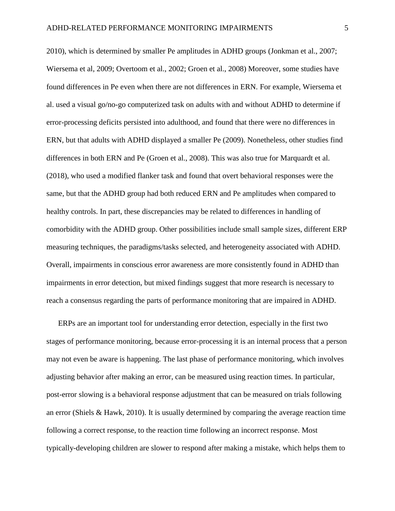2010), which is determined by smaller Pe amplitudes in ADHD groups (Jonkman et al., 2007; Wiersema et al, 2009; Overtoom et al., 2002; Groen et al., 2008) Moreover, some studies have found differences in Pe even when there are not differences in ERN. For example, Wiersema et al. used a visual go/no-go computerized task on adults with and without ADHD to determine if error-processing deficits persisted into adulthood, and found that there were no differences in ERN, but that adults with ADHD displayed a smaller Pe (2009). Nonetheless, other studies find differences in both ERN and Pe (Groen et al., 2008). This was also true for Marquardt et al. (2018), who used a modified flanker task and found that overt behavioral responses were the same, but that the ADHD group had both reduced ERN and Pe amplitudes when compared to healthy controls. In part, these discrepancies may be related to differences in handling of comorbidity with the ADHD group. Other possibilities include small sample sizes, different ERP measuring techniques, the paradigms/tasks selected, and heterogeneity associated with ADHD. Overall, impairments in conscious error awareness are more consistently found in ADHD than impairments in error detection, but mixed findings suggest that more research is necessary to reach a consensus regarding the parts of performance monitoring that are impaired in ADHD.

ERPs are an important tool for understanding error detection, especially in the first two stages of performance monitoring, because error-processing it is an internal process that a person may not even be aware is happening. The last phase of performance monitoring, which involves adjusting behavior after making an error, can be measured using reaction times. In particular, post-error slowing is a behavioral response adjustment that can be measured on trials following an error (Shiels & Hawk, 2010). It is usually determined by comparing the average reaction time following a correct response, to the reaction time following an incorrect response. Most typically-developing children are slower to respond after making a mistake, which helps them to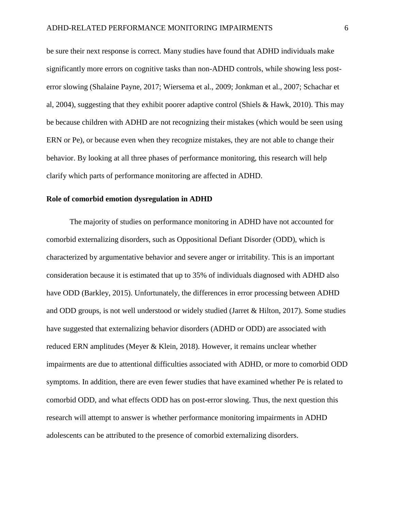be sure their next response is correct. Many studies have found that ADHD individuals make significantly more errors on cognitive tasks than non-ADHD controls, while showing less posterror slowing (Shalaine Payne, 2017; Wiersema et al., 2009; Jonkman et al., 2007; Schachar et al, 2004), suggesting that they exhibit poorer adaptive control (Shiels & Hawk, 2010). This may be because children with ADHD are not recognizing their mistakes (which would be seen using ERN or Pe), or because even when they recognize mistakes, they are not able to change their behavior. By looking at all three phases of performance monitoring, this research will help clarify which parts of performance monitoring are affected in ADHD.

# **Role of comorbid emotion dysregulation in ADHD**

The majority of studies on performance monitoring in ADHD have not accounted for comorbid externalizing disorders, such as Oppositional Defiant Disorder (ODD), which is characterized by argumentative behavior and severe anger or irritability. This is an important consideration because it is estimated that up to 35% of individuals diagnosed with ADHD also have ODD (Barkley, 2015). Unfortunately, the differences in error processing between ADHD and ODD groups, is not well understood or widely studied (Jarret & Hilton, 2017). Some studies have suggested that externalizing behavior disorders (ADHD or ODD) are associated with reduced ERN amplitudes (Meyer & Klein, 2018). However, it remains unclear whether impairments are due to attentional difficulties associated with ADHD, or more to comorbid ODD symptoms. In addition, there are even fewer studies that have examined whether Pe is related to comorbid ODD, and what effects ODD has on post-error slowing. Thus, the next question this research will attempt to answer is whether performance monitoring impairments in ADHD adolescents can be attributed to the presence of comorbid externalizing disorders.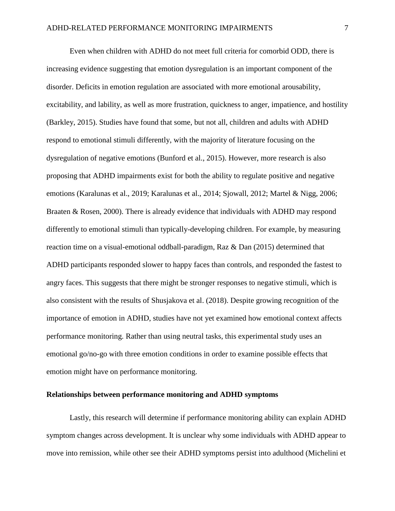Even when children with ADHD do not meet full criteria for comorbid ODD, there is increasing evidence suggesting that emotion dysregulation is an important component of the disorder. Deficits in emotion regulation are associated with more emotional arousability, excitability, and lability, as well as more frustration, quickness to anger, impatience, and hostility (Barkley, 2015). Studies have found that some, but not all, children and adults with ADHD respond to emotional stimuli differently, with the majority of literature focusing on the dysregulation of negative emotions (Bunford et al., 2015). However, more research is also proposing that ADHD impairments exist for both the ability to regulate positive and negative emotions (Karalunas et al., 2019; Karalunas et al., 2014; Sjowall, 2012; Martel & Nigg, 2006; Braaten & Rosen, 2000). There is already evidence that individuals with ADHD may respond differently to emotional stimuli than typically-developing children. For example, by measuring reaction time on a visual-emotional oddball-paradigm, Raz & Dan (2015) determined that ADHD participants responded slower to happy faces than controls, and responded the fastest to angry faces. This suggests that there might be stronger responses to negative stimuli, which is also consistent with the results of Shusjakova et al. (2018). Despite growing recognition of the importance of emotion in ADHD, studies have not yet examined how emotional context affects performance monitoring. Rather than using neutral tasks, this experimental study uses an emotional go/no-go with three emotion conditions in order to examine possible effects that emotion might have on performance monitoring.

#### **Relationships between performance monitoring and ADHD symptoms**

Lastly, this research will determine if performance monitoring ability can explain ADHD symptom changes across development. It is unclear why some individuals with ADHD appear to move into remission, while other see their ADHD symptoms persist into adulthood (Michelini et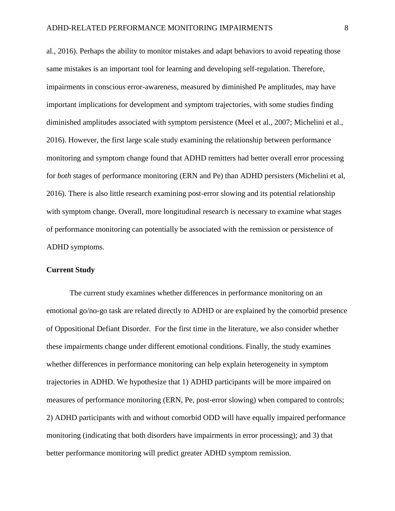al., 2016). Perhaps the ability to monitor mistakes and adapt behaviors to avoid repeating those same mistakes is an important tool for learning and developing self-regulation. Therefore, impairments in conscious error-awareness, measured by diminished Pe amplitudes, may have important implications for development and symptom trajectories, with some studies finding diminished amplitudes associated with symptom persistence (Meel et al., 2007; Michelini et al., 2016). However, the first large scale study examining the relationship between performance monitoring and symptom change found that ADHD remitters had better overall error processing for *both* stages of performance monitoring (ERN and Pe) than ADHD persisters (Michelini et al, 2016). There is also little research examining post-error slowing and its potential relationship with symptom change. Overall, more longitudinal research is necessary to examine what stages of performance monitoring can potentially be associated with the remission or persistence of ADHD symptoms.

# **Current Study**

The current study examines whether differences in performance monitoring on an emotional go/no-go task are related directly to ADHD or are explained by the comorbid presence of Oppositional Defiant Disorder. For the first time in the literature, we also consider whether these impairments change under different emotional conditions. Finally, the study examines whether differences in performance monitoring can help explain heterogeneity in symptom trajectories in ADHD. We hypothesize that 1) ADHD participants will be more impaired on measures of performance monitoring (ERN, Pe, post-error slowing) when compared to controls; 2) ADHD participants with and without comorbid ODD will have equally impaired performance monitoring (indicating that both disorders have impairments in error processing); and 3) that better performance monitoring will predict greater ADHD symptom remission.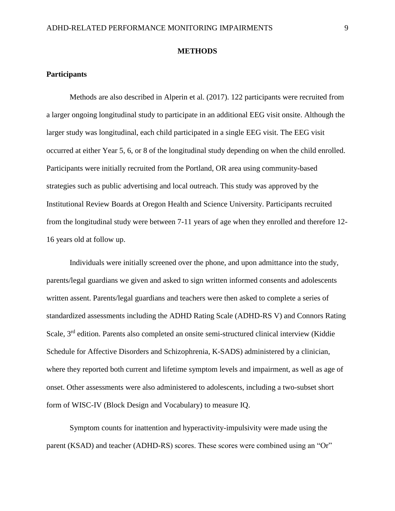#### **METHODS**

#### **Participants**

Methods are also described in Alperin et al. (2017). 122 participants were recruited from a larger ongoing longitudinal study to participate in an additional EEG visit onsite. Although the larger study was longitudinal, each child participated in a single EEG visit. The EEG visit occurred at either Year 5, 6, or 8 of the longitudinal study depending on when the child enrolled. Participants were initially recruited from the Portland, OR area using community-based strategies such as public advertising and local outreach. This study was approved by the Institutional Review Boards at Oregon Health and Science University. Participants recruited from the longitudinal study were between 7-11 years of age when they enrolled and therefore 12- 16 years old at follow up.

Individuals were initially screened over the phone, and upon admittance into the study, parents/legal guardians we given and asked to sign written informed consents and adolescents written assent. Parents/legal guardians and teachers were then asked to complete a series of standardized assessments including the ADHD Rating Scale (ADHD-RS V) and Connors Rating Scale, 3rd edition. Parents also completed an onsite semi-structured clinical interview (Kiddie Schedule for Affective Disorders and Schizophrenia, K-SADS) administered by a clinician, where they reported both current and lifetime symptom levels and impairment, as well as age of onset. Other assessments were also administered to adolescents, including a two-subset short form of WISC-IV (Block Design and Vocabulary) to measure IQ.

Symptom counts for inattention and hyperactivity-impulsivity were made using the parent (KSAD) and teacher (ADHD-RS) scores. These scores were combined using an "Or"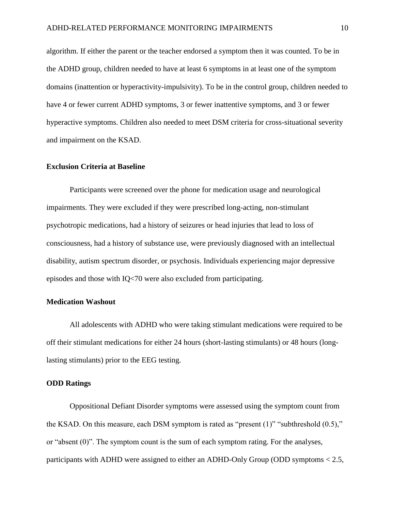algorithm. If either the parent or the teacher endorsed a symptom then it was counted. To be in the ADHD group, children needed to have at least 6 symptoms in at least one of the symptom domains (inattention or hyperactivity-impulsivity). To be in the control group, children needed to have 4 or fewer current ADHD symptoms, 3 or fewer inattentive symptoms, and 3 or fewer hyperactive symptoms. Children also needed to meet DSM criteria for cross-situational severity and impairment on the KSAD.

# **Exclusion Criteria at Baseline**

Participants were screened over the phone for medication usage and neurological impairments. They were excluded if they were prescribed long-acting, non-stimulant psychotropic medications, had a history of seizures or head injuries that lead to loss of consciousness, had a history of substance use, were previously diagnosed with an intellectual disability, autism spectrum disorder, or psychosis. Individuals experiencing major depressive episodes and those with IQ<70 were also excluded from participating.

# **Medication Washout**

All adolescents with ADHD who were taking stimulant medications were required to be off their stimulant medications for either 24 hours (short-lasting stimulants) or 48 hours (longlasting stimulants) prior to the EEG testing.

# **ODD Ratings**

Oppositional Defiant Disorder symptoms were assessed using the symptom count from the KSAD. On this measure, each DSM symptom is rated as "present (1)" "subthreshold (0.5)," or "absent (0)". The symptom count is the sum of each symptom rating. For the analyses, participants with ADHD were assigned to either an ADHD-Only Group (ODD symptoms < 2.5,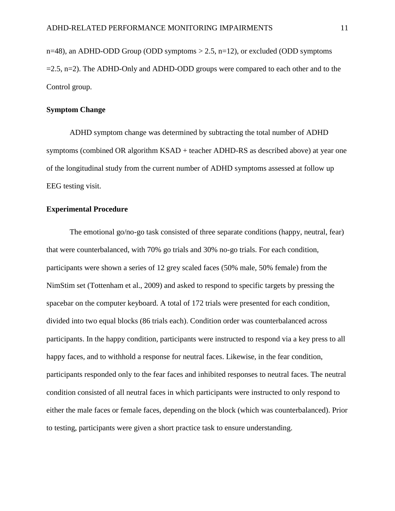$n=48$ ), an ADHD-ODD Group (ODD symptoms  $> 2.5$ ,  $n=12$ ), or excluded (ODD symptoms  $=2.5$ ,  $n=2$ ). The ADHD-Only and ADHD-ODD groups were compared to each other and to the Control group.

## **Symptom Change**

ADHD symptom change was determined by subtracting the total number of ADHD symptoms (combined OR algorithm KSAD + teacher ADHD-RS as described above) at year one of the longitudinal study from the current number of ADHD symptoms assessed at follow up EEG testing visit.

## **Experimental Procedure**

The emotional go/no-go task consisted of three separate conditions (happy, neutral, fear) that were counterbalanced, with 70% go trials and 30% no-go trials. For each condition, participants were shown a series of 12 grey scaled faces (50% male, 50% female) from the NimStim set (Tottenham et al., 2009) and asked to respond to specific targets by pressing the spacebar on the computer keyboard. A total of 172 trials were presented for each condition, divided into two equal blocks (86 trials each). Condition order was counterbalanced across participants. In the happy condition, participants were instructed to respond via a key press to all happy faces, and to withhold a response for neutral faces. Likewise, in the fear condition, participants responded only to the fear faces and inhibited responses to neutral faces. The neutral condition consisted of all neutral faces in which participants were instructed to only respond to either the male faces or female faces, depending on the block (which was counterbalanced). Prior to testing, participants were given a short practice task to ensure understanding.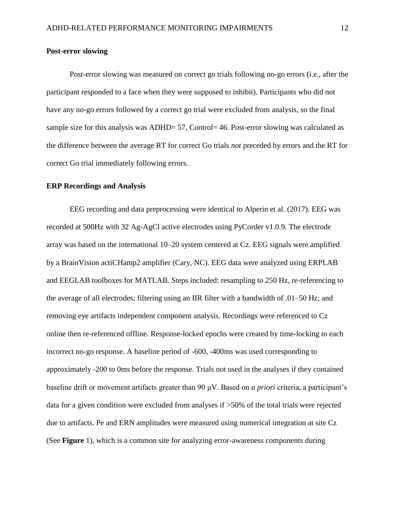### **Post-error slowing**

Post-error slowing was measured on correct go trials following no-go errors (i.e., after the participant responded to a face when they were supposed to inhibit). Participants who did not have any no-go errors followed by a correct go trial were excluded from analysis, so the final sample size for this analysis was ADHD= 57, Control= 46. Post-error slowing was calculated as the difference between the average RT for correct Go trials *not* preceded by errors and the RT for correct Go trial immediately following errors.

## **ERP Recordings and Analysis**

EEG recording and data preprocessing were identical to Alperin et al. (2017). EEG was recorded at 500Hz with 32 Ag-AgCl active electrodes using PyCorder v1.0.9. The electrode array was based on the international 10–20 system centered at Cz. EEG signals were amplified by a BrainVision actiCHamp2 amplifier (Cary, NC). EEG data were analyzed using ERPLAB and EEGLAB toolboxes for MATLAB. Steps included: resampling to 250 Hz, re-referencing to the average of all electrodes; filtering using an IIR filter with a bandwidth of .01–50 Hz; and removing eye artifacts independent component analysis. Recordings were referenced to Cz online then re-referenced offline. Response-locked epochs were created by time-locking to each incorrect no-go response. A baseline period of -600, -400ms was used corresponding to approximately -200 to 0ms before the response. Trials not used in the analyses if they contained baseline drift or movement artifacts greater than 90 μV. Based on *a priori* criteria, a participant's data for a given condition were excluded from analyses if >50% of the total trials were rejected due to artifacts. Pe and ERN amplitudes were measured using numerical integration at site Cz (See **Figure** 1), which is a common site for analyzing error-awareness components during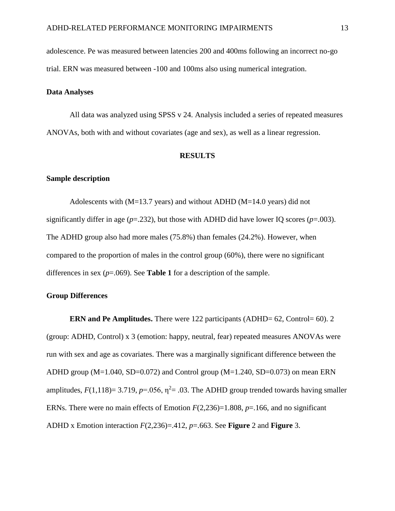adolescence. Pe was measured between latencies 200 and 400ms following an incorrect no-go trial. ERN was measured between -100 and 100ms also using numerical integration.

## **Data Analyses**

All data was analyzed using SPSS v 24. Analysis included a series of repeated measures ANOVAs, both with and without covariates (age and sex), as well as a linear regression.

#### **RESULTS**

### **Sample description**

Adolescents with  $(M=13.7 \text{ years})$  and without ADHD  $(M=14.0 \text{ years})$  did not significantly differ in age  $(p=.232)$ , but those with ADHD did have lower IQ scores  $(p=.003)$ . The ADHD group also had more males (75.8%) than females (24.2%). However, when compared to the proportion of males in the control group (60%), there were no significant differences in sex  $(p=.069)$ . See **Table 1** for a description of the sample.

# **Group Differences**

**ERN and Pe Amplitudes.** There were 122 participants (ADHD= 62, Control= 60). 2 (group: ADHD, Control) x 3 (emotion: happy, neutral, fear) repeated measures ANOVAs were run with sex and age as covariates. There was a marginally significant difference between the ADHD group (M=1.040, SD=0.072) and Control group (M=1.240, SD=0.073) on mean ERN amplitudes,  $F(1,118)=3.719$ ,  $p=.056$ ,  $\eta^2=.03$ . The ADHD group trended towards having smaller ERNs. There were no main effects of Emotion *F*(2,236)=1.808, *p*=.166, and no significant ADHD x Emotion interaction *F*(2,236)=.412, *p*=.663. See **Figure** 2 and **Figure** 3.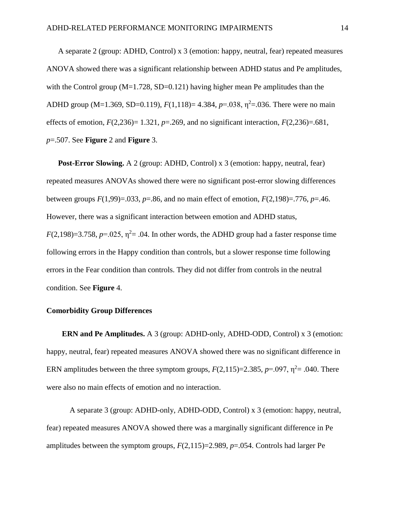A separate 2 (group: ADHD, Control) x 3 (emotion: happy, neutral, fear) repeated measures ANOVA showed there was a significant relationship between ADHD status and Pe amplitudes, with the Control group  $(M=1.728, SD=0.121)$  having higher mean Pe amplitudes than the ADHD group (M=1.369, SD=0.119),  $F(1,118) = 4.384$ ,  $p=0.038$ ,  $\eta^2 = 0.036$ . There were no main effects of emotion,  $F(2,236)=1.321$ ,  $p=.269$ , and no significant interaction,  $F(2,236)=.681$ , *p*=.507. See **Figure** 2 and **Figure** 3.

**Post-Error Slowing.** A 2 (group: ADHD, Control) x 3 (emotion: happy, neutral, fear) repeated measures ANOVAs showed there were no significant post-error slowing differences between groups  $F(1,99) = .033$ ,  $p = .86$ , and no main effect of emotion,  $F(2,198) = .776$ ,  $p = .46$ . However, there was a significant interaction between emotion and ADHD status,  $F(2,198)=3.758$ ,  $p=.025$ ,  $\eta^2=.04$ . In other words, the ADHD group had a faster response time following errors in the Happy condition than controls, but a slower response time following errors in the Fear condition than controls. They did not differ from controls in the neutral condition. See **Figure** 4.

# **Comorbidity Group Differences**

**ERN and Pe Amplitudes.** A 3 (group: ADHD-only, ADHD-ODD, Control) x 3 (emotion: happy, neutral, fear) repeated measures ANOVA showed there was no significant difference in ERN amplitudes between the three symptom groups,  $F(2,115)=2.385$ ,  $p=.097$ ,  $\eta^2=.040$ . There were also no main effects of emotion and no interaction.

A separate 3 (group: ADHD-only, ADHD-ODD, Control) x 3 (emotion: happy, neutral, fear) repeated measures ANOVA showed there was a marginally significant difference in Pe amplitudes between the symptom groups, *F*(2,115)=2.989, *p*=.054. Controls had larger Pe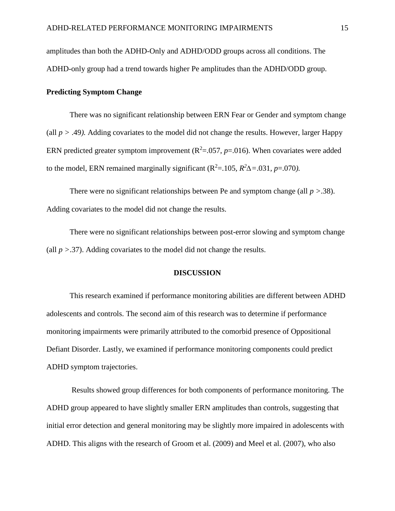amplitudes than both the ADHD-Only and ADHD/ODD groups across all conditions. The ADHD-only group had a trend towards higher Pe amplitudes than the ADHD/ODD group.

## **Predicting Symptom Change**

There was no significant relationship between ERN Fear or Gender and symptom change (all  $p > .49$ ). Adding covariates to the model did not change the results. However, larger Happy ERN predicted greater symptom improvement  $(R^2=0.057, p=.016)$ . When covariates were added to the model, ERN remained marginally significant ( $R^2 = 105$ ,  $R^2\Delta = 0.031$ ,  $p = 0.070$ ).

There were no significant relationships between Pe and symptom change (all *p >*.38). Adding covariates to the model did not change the results.

There were no significant relationships between post-error slowing and symptom change (all  $p > 0.37$ ). Adding covariates to the model did not change the results.

# **DISCUSSION**

This research examined if performance monitoring abilities are different between ADHD adolescents and controls. The second aim of this research was to determine if performance monitoring impairments were primarily attributed to the comorbid presence of Oppositional Defiant Disorder. Lastly, we examined if performance monitoring components could predict ADHD symptom trajectories.

Results showed group differences for both components of performance monitoring. The ADHD group appeared to have slightly smaller ERN amplitudes than controls, suggesting that initial error detection and general monitoring may be slightly more impaired in adolescents with ADHD. This aligns with the research of Groom et al. (2009) and Meel et al. (2007), who also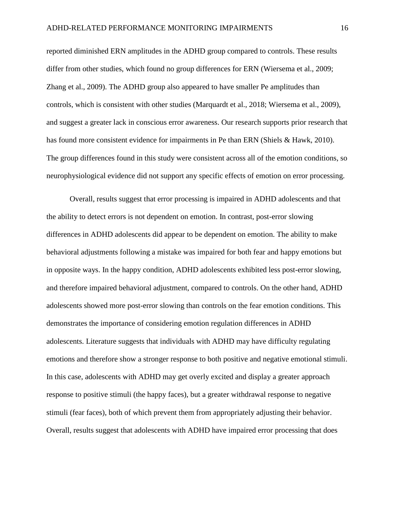reported diminished ERN amplitudes in the ADHD group compared to controls. These results differ from other studies, which found no group differences for ERN (Wiersema et al., 2009; Zhang et al., 2009). The ADHD group also appeared to have smaller Pe amplitudes than controls, which is consistent with other studies (Marquardt et al., 2018; Wiersema et al., 2009), and suggest a greater lack in conscious error awareness. Our research supports prior research that has found more consistent evidence for impairments in Pe than ERN (Shiels & Hawk, 2010). The group differences found in this study were consistent across all of the emotion conditions, so neurophysiological evidence did not support any specific effects of emotion on error processing.

Overall, results suggest that error processing is impaired in ADHD adolescents and that the ability to detect errors is not dependent on emotion. In contrast, post-error slowing differences in ADHD adolescents did appear to be dependent on emotion. The ability to make behavioral adjustments following a mistake was impaired for both fear and happy emotions but in opposite ways. In the happy condition, ADHD adolescents exhibited less post-error slowing, and therefore impaired behavioral adjustment, compared to controls. On the other hand, ADHD adolescents showed more post-error slowing than controls on the fear emotion conditions. This demonstrates the importance of considering emotion regulation differences in ADHD adolescents. Literature suggests that individuals with ADHD may have difficulty regulating emotions and therefore show a stronger response to both positive and negative emotional stimuli. In this case, adolescents with ADHD may get overly excited and display a greater approach response to positive stimuli (the happy faces), but a greater withdrawal response to negative stimuli (fear faces), both of which prevent them from appropriately adjusting their behavior. Overall, results suggest that adolescents with ADHD have impaired error processing that does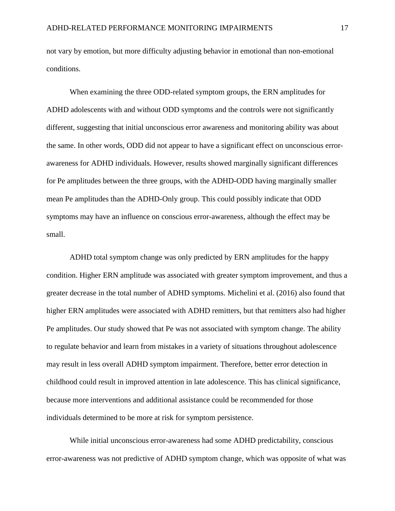not vary by emotion, but more difficulty adjusting behavior in emotional than non-emotional conditions.

When examining the three ODD-related symptom groups, the ERN amplitudes for ADHD adolescents with and without ODD symptoms and the controls were not significantly different, suggesting that initial unconscious error awareness and monitoring ability was about the same. In other words, ODD did not appear to have a significant effect on unconscious errorawareness for ADHD individuals. However, results showed marginally significant differences for Pe amplitudes between the three groups, with the ADHD-ODD having marginally smaller mean Pe amplitudes than the ADHD-Only group. This could possibly indicate that ODD symptoms may have an influence on conscious error-awareness, although the effect may be small.

ADHD total symptom change was only predicted by ERN amplitudes for the happy condition. Higher ERN amplitude was associated with greater symptom improvement, and thus a greater decrease in the total number of ADHD symptoms. Michelini et al. (2016) also found that higher ERN amplitudes were associated with ADHD remitters, but that remitters also had higher Pe amplitudes. Our study showed that Pe was not associated with symptom change. The ability to regulate behavior and learn from mistakes in a variety of situations throughout adolescence may result in less overall ADHD symptom impairment. Therefore, better error detection in childhood could result in improved attention in late adolescence. This has clinical significance, because more interventions and additional assistance could be recommended for those individuals determined to be more at risk for symptom persistence.

While initial unconscious error-awareness had some ADHD predictability, conscious error-awareness was not predictive of ADHD symptom change, which was opposite of what was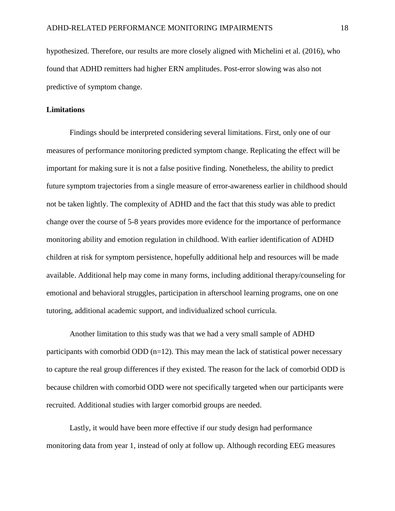hypothesized. Therefore, our results are more closely aligned with Michelini et al. (2016), who found that ADHD remitters had higher ERN amplitudes. Post-error slowing was also not predictive of symptom change.

#### **Limitations**

Findings should be interpreted considering several limitations. First, only one of our measures of performance monitoring predicted symptom change. Replicating the effect will be important for making sure it is not a false positive finding. Nonetheless, the ability to predict future symptom trajectories from a single measure of error-awareness earlier in childhood should not be taken lightly. The complexity of ADHD and the fact that this study was able to predict change over the course of 5-8 years provides more evidence for the importance of performance monitoring ability and emotion regulation in childhood. With earlier identification of ADHD children at risk for symptom persistence, hopefully additional help and resources will be made available. Additional help may come in many forms, including additional therapy/counseling for emotional and behavioral struggles, participation in afterschool learning programs, one on one tutoring, additional academic support, and individualized school curricula.

Another limitation to this study was that we had a very small sample of ADHD participants with comorbid ODD  $(n=12)$ . This may mean the lack of statistical power necessary to capture the real group differences if they existed. The reason for the lack of comorbid ODD is because children with comorbid ODD were not specifically targeted when our participants were recruited. Additional studies with larger comorbid groups are needed.

Lastly, it would have been more effective if our study design had performance monitoring data from year 1, instead of only at follow up. Although recording EEG measures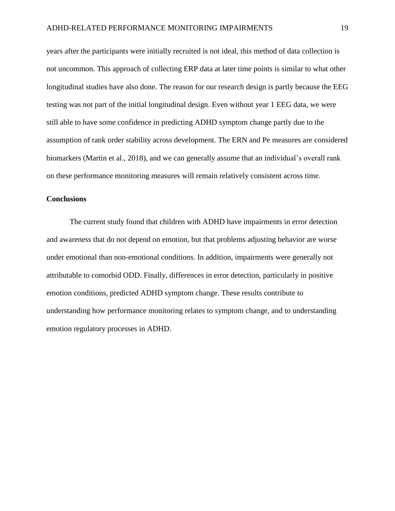years after the participants were initially recruited is not ideal, this method of data collection is not uncommon. This approach of collecting ERP data at later time points is similar to what other longitudinal studies have also done. The reason for our research design is partly because the EEG testing was not part of the initial longitudinal design. Even without year 1 EEG data, we were still able to have some confidence in predicting ADHD symptom change partly due to the assumption of rank order stability across development. The ERN and Pe measures are considered biomarkers (Martin et al., 2018), and we can generally assume that an individual's overall rank on these performance monitoring measures will remain relatively consistent across time.

# **Conclusions**

The current study found that children with ADHD have impairments in error detection and awareness that do not depend on emotion, but that problems adjusting behavior are worse under emotional than non-emotional conditions. In addition, impairments were generally not attributable to comorbid ODD. Finally, differences in error detection, particularly in positive emotion conditions, predicted ADHD symptom change. These results contribute to understanding how performance monitoring relates to symptom change, and to understanding emotion regulatory processes in ADHD.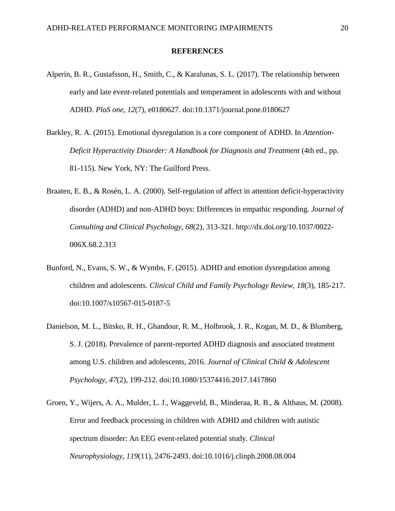#### **REFERENCES**

- Alperin, B. R., Gustafsson, H., Smith, C., & Karalunas, S. L. (2017). The relationship between early and late event-related potentials and temperament in adolescents with and without ADHD. *PloS one*, *12*(7), e0180627. doi:10.1371/journal.pone.0180627
- Barkley, R. A. (2015). Emotional dysregulation is a core component of ADHD. In *Attention-Deficit Hyperactivity Disorder: A Handbook for Diagnosis and Treatment* (4th ed., pp. 81-115). New York, NY: The Guilford Press.
- Braaten, E. B., & Rosén, L. A. (2000). Self-regulation of affect in attention deficit-hyperactivity disorder (ADHD) and non-ADHD boys: Differences in empathic responding. *Journal of Consulting and Clinical Psychology, 68*(2), 313-321. http://dx.doi.org/10.1037/0022- 006X.68.2.313
- Bunford, N., Evans, S. W., & Wymbs, F. (2015). ADHD and emotion dysregulation among children and adolescents. *Clinical Child and Family Psychology Review, 18*(3), 185-217. doi:10.1007/s10567-015-0187-5
- Danielson, M. L., Bitsko, R. H., Ghandour, R. M., Holbrook, J. R., Kogan, M. D., & Blumberg, S. J. (2018). Prevalence of parent-reported ADHD diagnosis and associated treatment among U.S. children and adolescents, 2016. *Journal of Clinical Child & Adolescent Psychology, 47*(2), 199-212. doi:10.1080/15374416.2017.1417860
- Groen, Y., Wijers, A. A., Mulder, L. J., Waggeveld, B., Minderaa, R. B., & Althaus, M. (2008). Error and feedback processing in children with ADHD and children with autistic spectrum disorder: An EEG event-related potential study. *Clinical Neurophysiology, 119*(11), 2476-2493. doi:10.1016/j.clinph.2008.08.004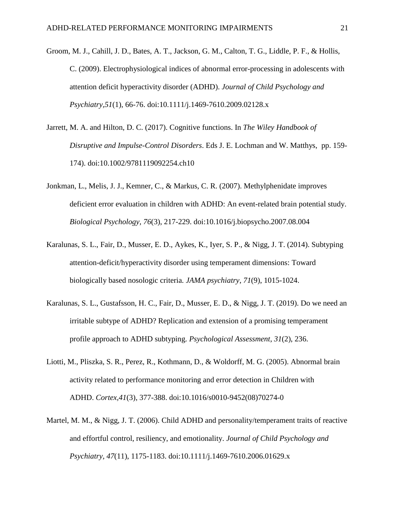- Groom, M. J., Cahill, J. D., Bates, A. T., Jackson, G. M., Calton, T. G., Liddle, P. F., & Hollis, C. (2009). Electrophysiological indices of abnormal error-processing in adolescents with attention deficit hyperactivity disorder (ADHD). *Journal of Child Psychology and Psychiatry,51*(1), 66-76. doi:10.1111/j.1469-7610.2009.02128.x
- Jarrett, M. A. and Hilton, D. C. (2017). Cognitive functions. In *The Wiley Handbook of Disruptive and Impulse-Control Disorders*. Eds J. E. Lochman and W. Matthys, pp. 159- 174). doi:10.1002/9781119092254.ch10
- Jonkman, L., Melis, J. J., Kemner, C., & Markus, C. R. (2007). Methylphenidate improves deficient error evaluation in children with ADHD: An event-related brain potential study. *Biological Psychology, 76*(3), 217-229. doi:10.1016/j.biopsycho.2007.08.004
- Karalunas, S. L., Fair, D., Musser, E. D., Aykes, K., Iyer, S. P., & Nigg, J. T. (2014). Subtyping attention-deficit/hyperactivity disorder using temperament dimensions: Toward biologically based nosologic criteria. *JAMA psychiatry*, *71*(9), 1015-1024.
- Karalunas, S. L., Gustafsson, H. C., Fair, D., Musser, E. D., & Nigg, J. T. (2019). Do we need an irritable subtype of ADHD? Replication and extension of a promising temperament profile approach to ADHD subtyping. *Psychological Assessment*, *31*(2), 236.
- Liotti, M., Pliszka, S. R., Perez, R., Kothmann, D., & Woldorff, M. G. (2005). Abnormal brain activity related to performance monitoring and error detection in Children with ADHD. *Cortex,41*(3), 377-388. doi:10.1016/s0010-9452(08)70274-0
- Martel, M. M., & Nigg, J. T. (2006). Child ADHD and personality/temperament traits of reactive and effortful control, resiliency, and emotionality. *Journal of Child Psychology and Psychiatry, 47*(11), 1175-1183. doi:10.1111/j.1469-7610.2006.01629.x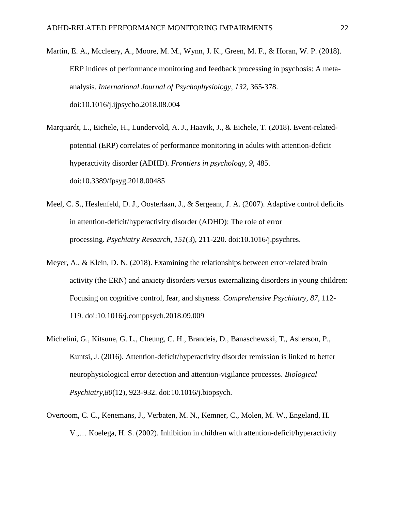- Martin, E. A., Mccleery, A., Moore, M. M., Wynn, J. K., Green, M. F., & Horan, W. P. (2018). ERP indices of performance monitoring and feedback processing in psychosis: A metaanalysis. *International Journal of Psychophysiology, 132*, 365-378. doi:10.1016/j.ijpsycho.2018.08.004
- Marquardt, L., Eichele, H., Lundervold, A. J., Haavik, J., & Eichele, T. (2018). Event-relatedpotential (ERP) correlates of performance monitoring in adults with attention-deficit hyperactivity disorder (ADHD). *Frontiers in psychology*, *9*, 485. doi:10.3389/fpsyg.2018.00485
- Meel, C. S., Heslenfeld, D. J., Oosterlaan, J., & Sergeant, J. A. (2007). Adaptive control deficits in attention-deficit/hyperactivity disorder (ADHD): The role of error processing. *Psychiatry Research, 151*(3), 211-220. doi:10.1016/j.psychres.
- Meyer, A., & Klein, D. N. (2018). Examining the relationships between error-related brain activity (the ERN) and anxiety disorders versus externalizing disorders in young children: Focusing on cognitive control, fear, and shyness. *Comprehensive Psychiatry, 87*, 112- 119. doi:10.1016/j.comppsych.2018.09.009
- Michelini, G., Kitsune, G. L., Cheung, C. H., Brandeis, D., Banaschewski, T., Asherson, P., Kuntsi, J. (2016). Attention-deficit/hyperactivity disorder remission is linked to better neurophysiological error detection and attention-vigilance processes. *Biological Psychiatry,80*(12), 923-932. doi:10.1016/j.biopsych.
- Overtoom, C. C., Kenemans, J., Verbaten, M. N., Kemner, C., Molen, M. W., Engeland, H. V.,… Koelega, H. S. (2002). Inhibition in children with attention-deficit/hyperactivity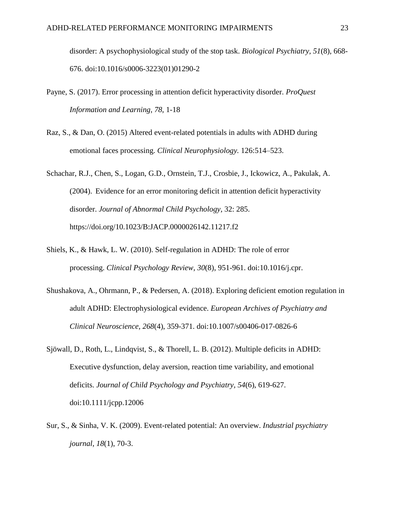disorder: A psychophysiological study of the stop task. *Biological Psychiatry, 51*(8), 668- 676. doi:10.1016/s0006-3223(01)01290-2

- Payne, S. (2017). Error processing in attention deficit hyperactivity disorder. *ProQuest Information and Learning, 78*, 1-18
- Raz, S., & Dan, O. (2015) Altered event-related potentials in adults with ADHD during emotional faces processing. *Clinical Neurophysiology.* 126:514–523.
- Schachar, R.J., Chen, S., Logan, G.D., Ornstein, T.J., Crosbie, J., Ickowicz, A., Pakulak, A. (2004). Evidence for an error monitoring deficit in attention deficit hyperactivity disorder. *Journal of Abnormal Child Psychology*, 32: 285. https://doi.org/10.1023/B:JACP.0000026142.11217.f2
- Shiels, K., & Hawk, L. W. (2010). Self-regulation in ADHD: The role of error processing. *Clinical Psychology Review, 30*(8), 951-961. doi:10.1016/j.cpr.
- Shushakova, A., Ohrmann, P., & Pedersen, A. (2018). Exploring deficient emotion regulation in adult ADHD: Electrophysiological evidence. *European Archives of Psychiatry and Clinical Neuroscience, 268*(4), 359-371. doi:10.1007/s00406-017-0826-6
- Sjöwall, D., Roth, L., Lindqvist, S., & Thorell, L. B. (2012). Multiple deficits in ADHD: Executive dysfunction, delay aversion, reaction time variability, and emotional deficits. *Journal of Child Psychology and Psychiatry, 54*(6), 619-627. doi:10.1111/jcpp.12006
- Sur, S., & Sinha, V. K. (2009). Event-related potential: An overview. *Industrial psychiatry journal*, *18*(1), 70-3.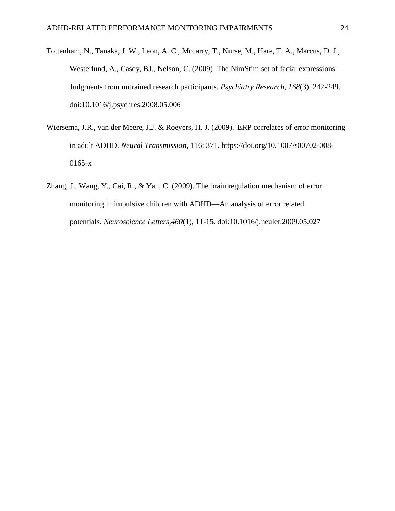- Tottenham, N., Tanaka, J. W., Leon, A. C., Mccarry, T., Nurse, M., Hare, T. A., Marcus, D. J., Westerlund, A., Casey, BJ., Nelson, C. (2009). The NimStim set of facial expressions: Judgments from untrained research participants. *Psychiatry Research, 168*(3), 242-249. doi:10.1016/j.psychres.2008.05.006
- Wiersema, J.R., van der Meere, J.J. & Roeyers, H. J. (2009). ERP correlates of error monitoring in adult ADHD. *Neural Transmission*, 116: 371. https://doi.org/10.1007/s00702-008- 0165-x
- Zhang, J., Wang, Y., Cai, R., & Yan, C. (2009). The brain regulation mechanism of error monitoring in impulsive children with ADHD—An analysis of error related potentials. *Neuroscience Letters,460*(1), 11-15. doi:10.1016/j.neulet.2009.05.027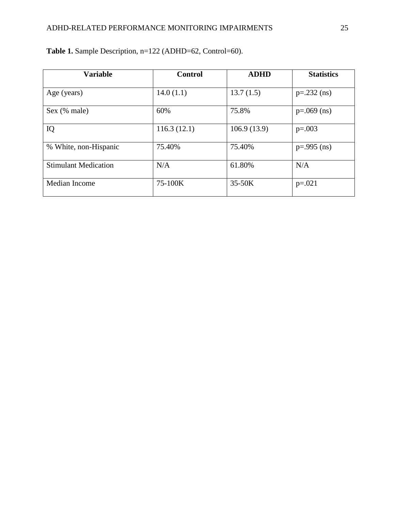| <b>Variable</b>             | <b>Control</b> | <b>ADHD</b> | <b>Statistics</b> |
|-----------------------------|----------------|-------------|-------------------|
| Age (years)                 | 14.0(1.1)      | 13.7(1.5)   | $p=.232$ (ns)     |
| Sex (% male)                | 60%            | 75.8%       | $p=.069$ (ns)     |
| IQ                          | 116.3(12.1)    | 106.9(13.9) | $p=.003$          |
| % White, non-Hispanic       | 75.40%         | 75.40%      | $p = .995$ (ns)   |
| <b>Stimulant Medication</b> | N/A            | 61.80%      | N/A               |
| Median Income               | 75-100K        | 35-50K      | $p=.021$          |

**Table 1.** Sample Description, n=122 (ADHD=62, Control=60).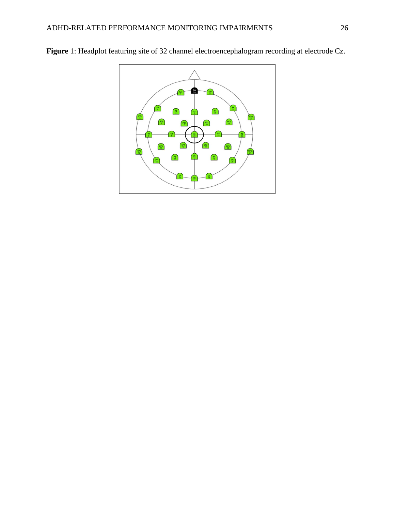

**Figure** 1: Headplot featuring site of 32 channel electroencephalogram recording at electrode Cz.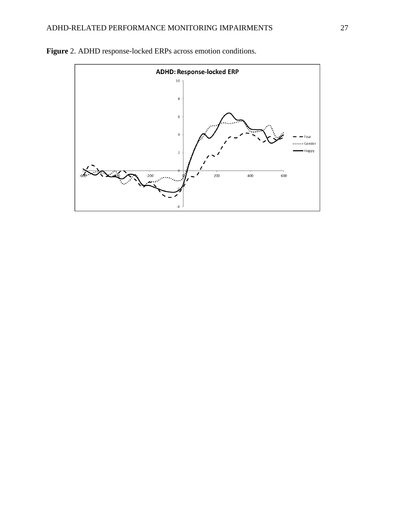

**Figure** 2. ADHD response-locked ERPs across emotion conditions.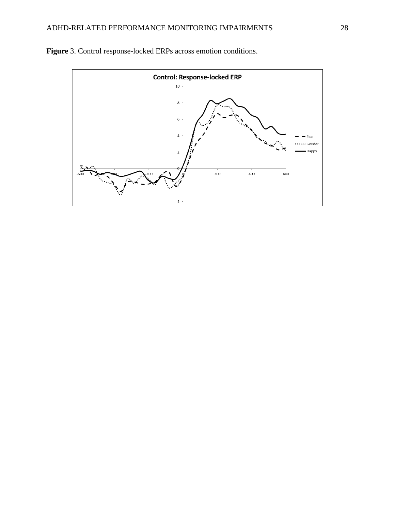

**Figure** 3. Control response-locked ERPs across emotion conditions.